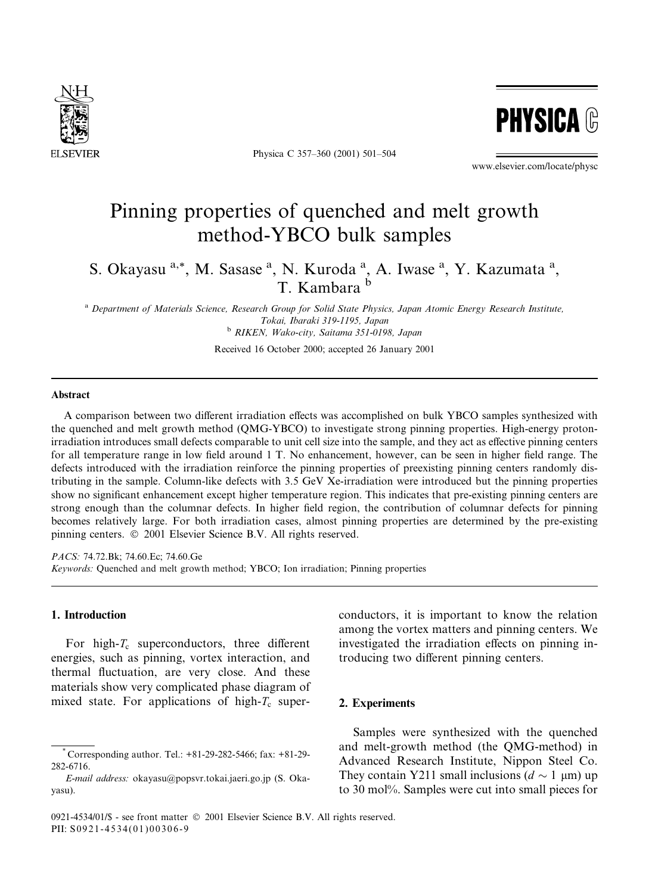

Physica C 357-360 (2001) 501-504



www.elsevier.com/locate/physc

# Pinning properties of quenched and melt growth method-YBCO bulk samples

S. Okayasu<sup>a,\*</sup>, M. Sasase<sup>a</sup>, N. Kuroda<sup>a</sup>, A. Iwase<sup>a</sup>, Y. Kazumata<sup>a</sup>, T. Kambara <sup>b</sup>

a Department of Materials Science, Research Group for Solid State Physics, Japan Atomic Energy Research Institute, Tokai, Ibaraki 319-1195, Japan

<sup>b</sup> RIKEN, Wako-city, Saitama 351-0198, Japan

Received 16 October 2000; accepted 26 January 2001

## Abstract

A comparison between two different irradiation effects was accomplished on bulk YBCO samples synthesized with the quenched and melt growth method (QMG-YBCO) to investigate strong pinning properties. High-energy protonirradiation introduces small defects comparable to unit cell size into the sample, and they act as effective pinning centers for all temperature range in low field around 1 T. No enhancement, however, can be seen in higher field range. The defects introduced with the irradiation reinforce the pinning properties of preexisting pinning centers randomly distributing in the sample. Column-like defects with 3.5 GeV Xe-irradiation were introduced but the pinning properties show no significant enhancement except higher temperature region. This indicates that pre-existing pinning centers are strong enough than the columnar defects. In higher field region, the contribution of columnar defects for pinning becomes relatively large. For both irradiation cases, almost pinning properties are determined by the pre-existing pinning centers. © 2001 Elsevier Science B.V. All rights reserved.

PACS: 74.72.Bk; 74.60.Ec; 74.60.Ge Keywords: Quenched and melt growth method; YBCO; Ion irradiation; Pinning properties

## 1. Introduction

For high- $T_c$  superconductors, three different energies, such as pinning, vortex interaction, and thermal fluctuation, are very close. And these materials show very complicated phase diagram of mixed state. For applications of high- $T_c$  super-

2. Experiments Samples were synthesized with the quenched

and melt-growth method (the QMG-method) in Advanced Research Institute, Nippon Steel Co. They contain Y211 small inclusions ( $d \sim 1 \mu m$ ) up to 30 mol%. Samples were cut into small pieces for

conductors, it is important to know the relation among the vortex matters and pinning centers. We

investigated the irradiation effects on pinning in-

troducing two different pinning centers.

Corresponding author. Tel.: +81-29-282-5466; fax: +81-29-282-6716.

E-mail address: okayasu@popsvr.tokai.jaeri.go.jp (S. Okayasu).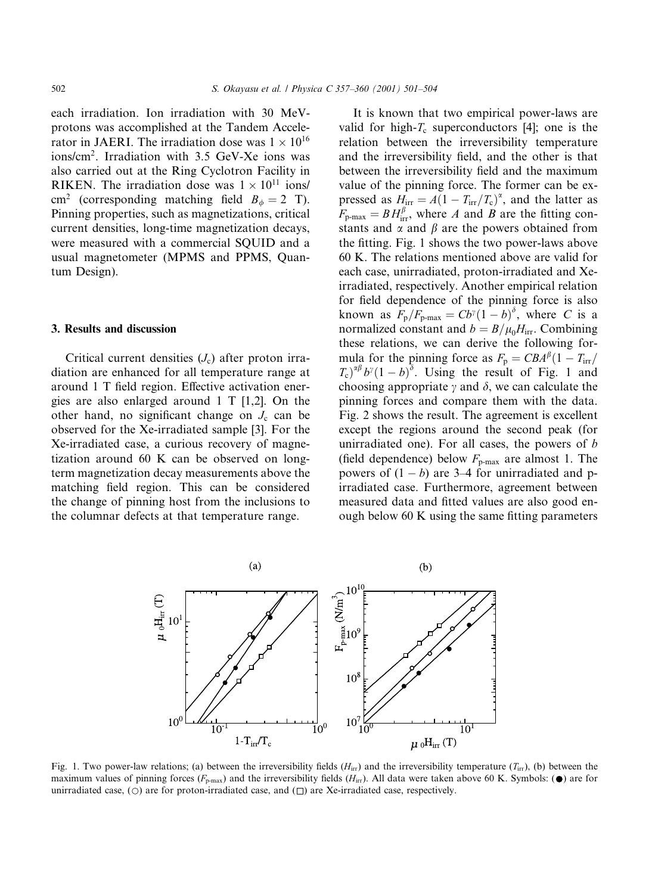each irradiation. Ion irradiation with 30 MeVprotons was accomplished at the Tandem Accelerator in JAERI. The irradiation dose was  $1 \times 10^{16}$ ions/cm<sup>2</sup>. Irradiation with 3.5 GeV-Xe ions was also carried out at the Ring Cyclotron Facility in RIKEN. The irradiation dose was  $1 \times 10^{11}$  ions/ cm<sup>2</sup> (corresponding matching field  $B_{\phi} = 2$  T). Pinning properties, such as magnetizations, critical current densities, long-time magnetization decays, were measured with a commercial SQUID and a usual magnetometer (MPMS and PPMS, Quantum Design).

#### 3. Results and discussion

Critical current densities  $(J_c)$  after proton irradiation are enhanced for all temperature range at around 1 T field region. Effective activation energies are also enlarged around 1 T  $[1,2]$ . On the other hand, no significant change on  $J_c$  can be observed for the Xe-irradiated sample [3]. For the Xe-irradiated case, a curious recovery of magnetization around 60 K can be observed on longterm magnetization decay measurements above the matching field region. This can be considered the change of pinning host from the inclusions to the columnar defects at that temperature range.

It is known that two empirical power-laws are valid for high- $T_c$  superconductors [4]; one is the relation between the irreversibility temperature and the irreversibility field, and the other is that between the irreversibility field and the maximum value of the pinning force. The former can be expressed as  $H_{irr} = A(1 - T_{irr}/T_c)^{\alpha}$ , and the latter as  $F_{p-max} = BH_{irr}^{\beta}$ , where A and B are the fitting constants and  $\alpha$  and  $\beta$  are the powers obtained from the fitting. Fig. 1 shows the two power-laws above 60 K. The relations mentioned above are valid for each case, unirradiated, proton-irradiated and Xeirradiated, respectively. Another empirical relation for field dependence of the pinning force is also known as  $F_p/F_{p\text{-max}} = Cb^{\gamma}(1-b)^{\delta}$ , where C is a normalized constant and  $b = B/\mu_0 H_{irr}$ . Combining these relations, we can derive the following formula for the pinning force as  $F_p = CBA^{\beta}(1 - T_{irr})$  $(T_c)^{\alpha\beta}b^{\gamma}(1-b)^{\delta}$ . Using the result of Fig. 1 and choosing appropriate  $\gamma$  and  $\delta$ , we can calculate the pinning forces and compare them with the data. Fig. 2 shows the result. The agreement is excellent except the regions around the second peak (for unirradiated one). For all cases, the powers of  $b$ (field dependence) below  $F_{\text{p-max}}$  are almost 1. The powers of  $(1 - b)$  are 3–4 for unirradiated and pirradiated case. Furthermore, agreement between measured data and fitted values are also good enough below 60 K using the same fitting parameters



Fig. 1. Two power-law relations; (a) between the irreversibility fields  $(H<sub>irr</sub>)$  and the irreversibility temperature  $(T<sub>irr</sub>)$ , (b) between the maximum values of pinning forces ( $F_{\text{p-max}}$ ) and the irreversibility fields ( $H_{\text{irr}}$ ). All data were taken above 60 K. Symbols: ( $\bullet$ ) are for unirradiated case,  $(\bigcirc)$  are for proton-irradiated case, and  $(\bigcirc)$  are Xe-irradiated case, respectively.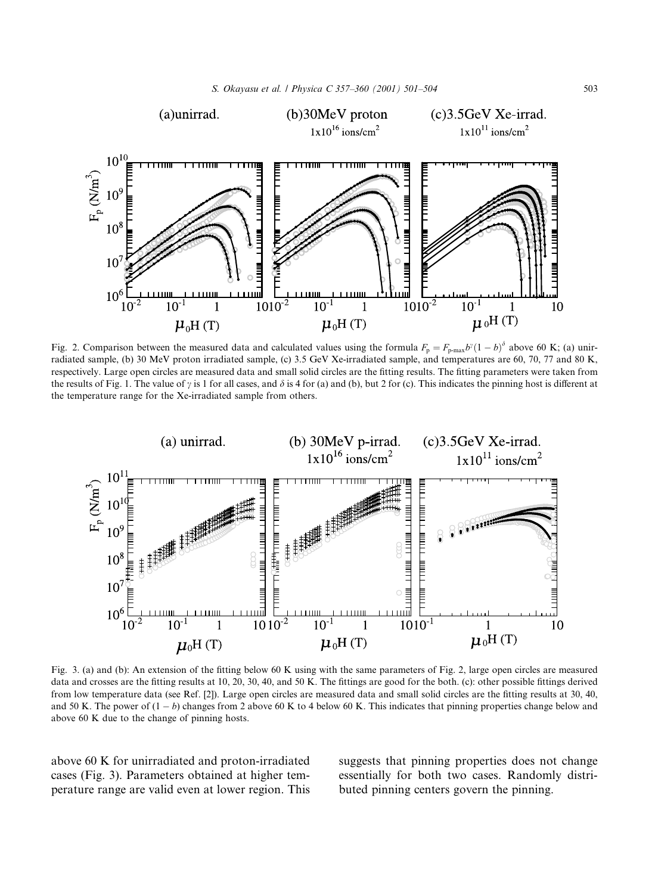

Fig. 2. Comparison between the measured data and calculated values using the formula  $F_p = F_{p\text{-max}}b^{\gamma}(1-b)^{\delta}$  above 60 K; (a) unirradiated sample, (b) 30 MeV proton irradiated sample, (c) 3.5 GeV Xe-irradiated sample, and temperatures are 60, 70, 77 and 80 K, respectively. Large open circles are measured data and small solid circles are the fitting results. The fitting parameters were taken from the results of Fig. 1. The value of  $\gamma$  is 1 for all cases, and  $\delta$  is 4 for (a) and (b), but 2 for (c). This indicates the pinning host is different at the temperature range for the Xe-irradiated sample from others.



Fig. 3. (a) and (b): An extension of the fitting below 60 K using with the same parameters of Fig. 2, large open circles are measured data and crosses are the fitting results at 10, 20, 30, 40, and 50 K. The fittings are good for the both. (c): other possible fittings derived from low temperature data (see Ref. [2]). Large open circles are measured data and small solid circles are the fitting results at 30, 40, and 50 K. The power of  $(1 - b)$  changes from 2 above 60 K to 4 below 60 K. This indicates that pinning properties change below and above 60 K due to the change of pinning hosts.

above 60 K for unirradiated and proton-irradiated cases (Fig. 3). Parameters obtained at higher temperature range are valid even at lower region. This suggests that pinning properties does not change essentially for both two cases. Randomly distributed pinning centers govern the pinning.